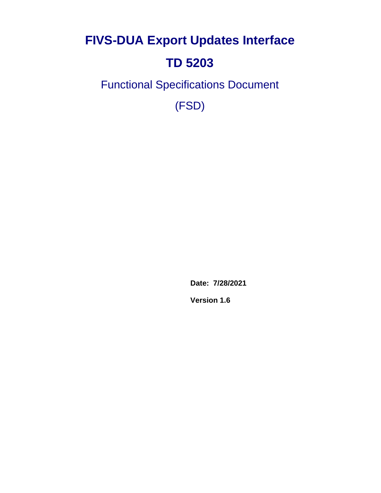**FIVS-DUA Export Updates Interface**

# **TD 5203**

Functional Specifications Document

(FSD)

**Date: 7/28/2021**

**Version 1.6**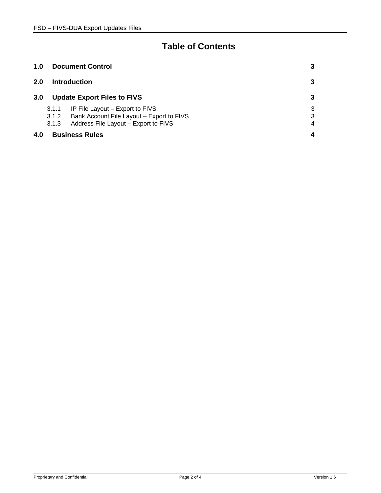#### **Table of Contents**

<span id="page-1-0"></span>

| 1.0 |       | <b>Document Control</b><br>3              |                |  |  |  |  |
|-----|-------|-------------------------------------------|----------------|--|--|--|--|
| 2.0 | 3     |                                           |                |  |  |  |  |
| 3.0 |       | <b>Update Export Files to FIVS</b>        | 3              |  |  |  |  |
|     | 3.1.1 | IP File Layout – Export to FIVS           | 3              |  |  |  |  |
|     | 3.1.2 | Bank Account File Layout - Export to FIVS | 3              |  |  |  |  |
|     | 3.1.3 | Address File Layout - Export to FIVS      | $\overline{4}$ |  |  |  |  |
| 4.0 |       | <b>Business Rules</b>                     |                |  |  |  |  |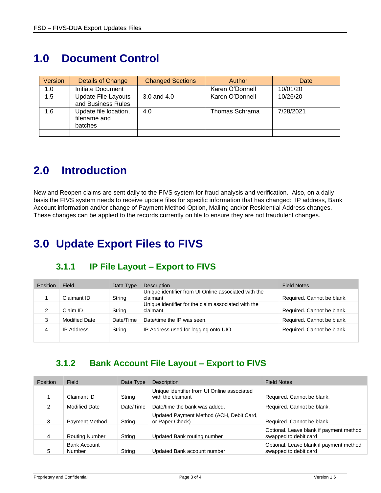### **1.0 Document Control**

| Version | Details of Change                                | <b>Changed Sections</b> | Author          | Date      |
|---------|--------------------------------------------------|-------------------------|-----------------|-----------|
| 1.0     | Initiate Document                                |                         | Karen O'Donnell | 10/01/20  |
| 1.5     | <b>Update File Layouts</b><br>and Business Rules | $3.0$ and $4.0$         | Karen O'Donnell | 10/26/20  |
| 1.6     | Update file location,<br>filename and<br>batches | 4.0                     | Thomas Schrama  | 7/28/2021 |
|         |                                                  |                         |                 |           |

### <span id="page-2-0"></span>**2.0 Introduction**

New and Reopen claims are sent daily to the FIVS system for fraud analysis and verification. Also, on a daily basis the FIVS system needs to receive update files for specific information that has changed: IP address, Bank Account information and/or change of Payment Method Option, Mailing and/or Residential Address changes. These changes can be applied to the records currently on file to ensure they are not fraudulent changes.

### <span id="page-2-1"></span>**3.0 Update Export Files to FIVS**

#### **3.1.1 IP File Layout – Export to FIVS**

<span id="page-2-2"></span>

| <b>Position</b> | Field                | Data Type | Description                                          | <b>Field Notes</b>         |
|-----------------|----------------------|-----------|------------------------------------------------------|----------------------------|
|                 |                      |           | Unique identifier from UI Online associated with the |                            |
|                 | Claimant ID          | String    | claimant                                             | Required. Cannot be blank. |
|                 |                      |           | Unique identifier for the claim associated with the  |                            |
| 2               | Claim ID             | String    | claimant.                                            | Required. Cannot be blank. |
| 3               | <b>Modified Date</b> | Date/Time | Date/time the IP was seen.                           | Required. Cannot be blank. |
|                 | <b>IP Address</b>    | String    | IP Address used for logging onto UIO                 | Required. Cannot be blank. |
|                 |                      |           |                                                      |                            |

#### **3.1.2 Bank Account File Layout – Export to FIVS**

<span id="page-2-3"></span>

| <b>Position</b> | Field                                | Data Type | <b>Description</b>                                               | <b>Field Notes</b>                                               |
|-----------------|--------------------------------------|-----------|------------------------------------------------------------------|------------------------------------------------------------------|
|                 | Claimant ID                          | String    | Unique identifier from UI Online associated<br>with the claimant | Required. Cannot be blank.                                       |
| 2               | <b>Modified Date</b>                 | Date/Time | Date/time the bank was added.                                    | Required. Cannot be blank.                                       |
| 3               | Payment Method                       | String    | Updated Payment Method (ACH, Debit Card,<br>or Paper Check)      | Required. Cannot be blank.                                       |
| 4               | <b>Routing Number</b>                | String    | Updated Bank routing number                                      | Optional. Leave blank if payment method<br>swapped to debit card |
| 5               | <b>Bank Account</b><br><b>Number</b> | String    | Updated Bank account number                                      | Optional. Leave blank if payment method<br>swapped to debit card |